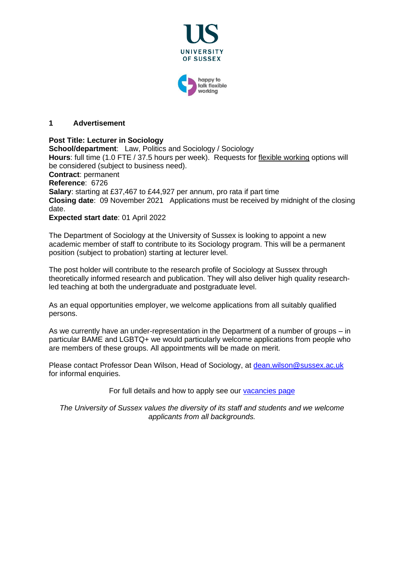

working

#### **1 Advertisement**

**Post Title: Lecturer in Sociology School/department**: Law, Politics and Sociology / Sociology **Hours**: full time (1.0 FTE / 37.5 hours per week). Requests for [flexible working](http://www.sussex.ac.uk/humanresources/personnel/flexible-working) options will be considered (subject to business need). **Contract**: permanent **Reference**: 6726 **Salary**: starting at £37,467 to £44,927 per annum, pro rata if part time **Closing date**: 09 November 2021 Applications must be received by midnight of the closing date.

#### **Expected start date**: 01 April 2022

The Department of Sociology at the University of Sussex is looking to appoint a new academic member of staff to contribute to its Sociology program. This will be a permanent position (subject to probation) starting at lecturer level.

The post holder will contribute to the research profile of Sociology at Sussex through theoretically informed research and publication. They will also deliver high quality researchled teaching at both the undergraduate and postgraduate level.

As an equal opportunities employer, we welcome applications from all suitably qualified persons.

As we currently have an under-representation in the Department of a number of groups – in particular BAME and LGBTQ+ we would particularly welcome applications from people who are members of these groups. All appointments will be made on merit.

Please contact Professor Dean Wilson, Head of Sociology, at [dean.wilson@sussex.ac.uk](mailto:dean.wilson@sussex.ac.uk) for informal enquiries.

For full details and how to apply see our [vacancies page](http://www.sussex.ac.uk/about/jobs)

*The University of Sussex values the diversity of its staff and students and we welcome applicants from all backgrounds.*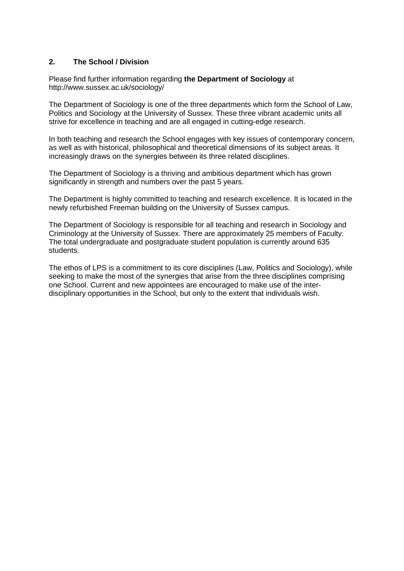## **2. The School / Division**

Please find further information regarding **the Department of Sociology** at http://www.sussex.ac.uk/sociology/

The Department of Sociology is one of the three departments which form the School of Law, Politics and Sociology at the University of Sussex. These three vibrant academic units all strive for excellence in teaching and are all engaged in cutting-edge research.

In both teaching and research the School engages with key issues of contemporary concern, as well as with historical, philosophical and theoretical dimensions of its subject areas. It increasingly draws on the synergies between its three related disciplines.

The Department of Sociology is a thriving and ambitious department which has grown significantly in strength and numbers over the past 5 years.

The Department is highly committed to teaching and research excellence. It is located in the newly refurbished Freeman building on the University of Sussex campus.

The Department of Sociology is responsible for all teaching and research in Sociology and Criminology at the University of Sussex. There are approximately 25 members of Faculty. The total undergraduate and postgraduate student population is currently around 635 students.

The ethos of LPS is a commitment to its core disciplines (Law, Politics and Sociology), while seeking to make the most of the synergies that arise from the three disciplines comprising one School. Current and new appointees are encouraged to make use of the interdisciplinary opportunities in the School, but only to the extent that individuals wish.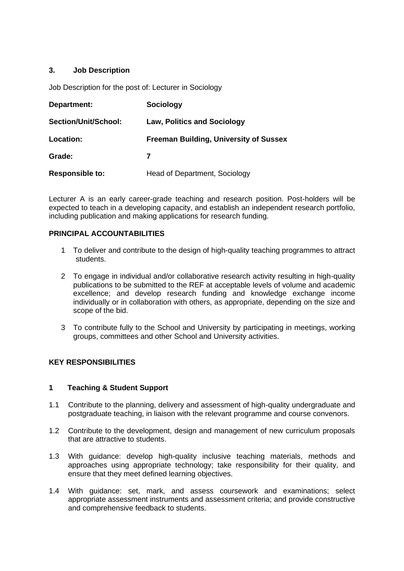# **3. Job Description**

Job Description for the post of: Lecturer in Sociology

| Department:            | <b>Sociology</b>                              |
|------------------------|-----------------------------------------------|
| Section/Unit/School:   | <b>Law, Politics and Sociology</b>            |
| Location:              | <b>Freeman Building, University of Sussex</b> |
| Grade:                 |                                               |
| <b>Responsible to:</b> | Head of Department, Sociology                 |

Lecturer A is an early career-grade teaching and research position. Post-holders will be expected to teach in a developing capacity, and establish an independent research portfolio, including publication and making applications for research funding.

## **PRINCIPAL ACCOUNTABILITIES**

- 1 To deliver and contribute to the design of high-quality teaching programmes to attract students.
- 2 To engage in individual and/or collaborative research activity resulting in high-quality publications to be submitted to the REF at acceptable levels of volume and academic excellence; and develop research funding and knowledge exchange income individually or in collaboration with others, as appropriate, depending on the size and scope of the bid.
- 3 To contribute fully to the School and University by participating in meetings, working groups, committees and other School and University activities.

## **KEY RESPONSIBILITIES**

## **1 Teaching & Student Support**

- 1.1 Contribute to the planning, delivery and assessment of high-quality undergraduate and postgraduate teaching, in liaison with the relevant programme and course convenors.
- 1.2 Contribute to the development, design and management of new curriculum proposals that are attractive to students.
- 1.3 With guidance: develop high-quality inclusive teaching materials, methods and approaches using appropriate technology; take responsibility for their quality, and ensure that they meet defined learning objectives.
- 1.4 With guidance: set, mark, and assess coursework and examinations; select appropriate assessment instruments and assessment criteria; and provide constructive and comprehensive feedback to students.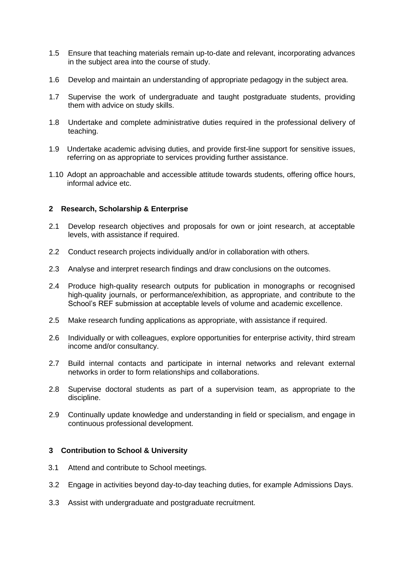- 1.5 Ensure that teaching materials remain up-to-date and relevant, incorporating advances in the subject area into the course of study.
- 1.6 Develop and maintain an understanding of appropriate pedagogy in the subject area.
- 1.7 Supervise the work of undergraduate and taught postgraduate students, providing them with advice on study skills.
- 1.8 Undertake and complete administrative duties required in the professional delivery of teaching.
- 1.9 Undertake academic advising duties, and provide first-line support for sensitive issues, referring on as appropriate to services providing further assistance.
- 1.10 Adopt an approachable and accessible attitude towards students, offering office hours, informal advice etc.

## **2 Research, Scholarship & Enterprise**

- 2.1 Develop research objectives and proposals for own or joint research, at acceptable levels, with assistance if required.
- 2.2 Conduct research projects individually and/or in collaboration with others.
- 2.3 Analyse and interpret research findings and draw conclusions on the outcomes.
- 2.4 Produce high-quality research outputs for publication in monographs or recognised high-quality journals, or performance/exhibition, as appropriate, and contribute to the School's REF submission at acceptable levels of volume and academic excellence.
- 2.5 Make research funding applications as appropriate, with assistance if required.
- 2.6 Individually or with colleagues, explore opportunities for enterprise activity, third stream income and/or consultancy.
- 2.7 Build internal contacts and participate in internal networks and relevant external networks in order to form relationships and collaborations.
- 2.8 Supervise doctoral students as part of a supervision team, as appropriate to the discipline.
- 2.9 Continually update knowledge and understanding in field or specialism, and engage in continuous professional development.

## **3 Contribution to School & University**

- 3.1 Attend and contribute to School meetings.
- 3.2 Engage in activities beyond day-to-day teaching duties, for example Admissions Days.
- 3.3 Assist with undergraduate and postgraduate recruitment.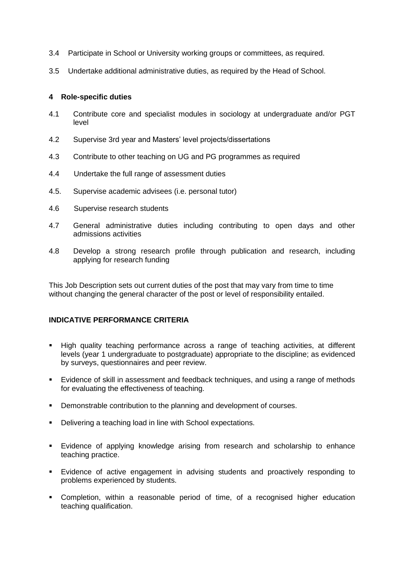- 3.4 Participate in School or University working groups or committees, as required.
- 3.5 Undertake additional administrative duties, as required by the Head of School.

#### **4 Role-specific duties**

- 4.1 Contribute core and specialist modules in sociology at undergraduate and/or PGT level
- 4.2 Supervise 3rd year and Masters' level projects/dissertations
- 4.3 Contribute to other teaching on UG and PG programmes as required
- 4.4 Undertake the full range of assessment duties
- 4.5. Supervise academic advisees (i.e. personal tutor)
- 4.6 Supervise research students
- 4.7 General administrative duties including contributing to open days and other admissions activities
- 4.8 Develop a strong research profile through publication and research, including applying for research funding

This Job Description sets out current duties of the post that may vary from time to time without changing the general character of the post or level of responsibility entailed.

## **INDICATIVE PERFORMANCE CRITERIA**

- **E** High quality teaching performance across a range of teaching activities, at different levels (year 1 undergraduate to postgraduate) appropriate to the discipline; as evidenced by surveys, questionnaires and peer review.
- Evidence of skill in assessment and feedback techniques, and using a range of methods for evaluating the effectiveness of teaching.
- Demonstrable contribution to the planning and development of courses.
- Delivering a teaching load in line with School expectations.
- Evidence of applying knowledge arising from research and scholarship to enhance teaching practice.
- Evidence of active engagement in advising students and proactively responding to problems experienced by students.
- Completion, within a reasonable period of time, of a recognised higher education teaching qualification.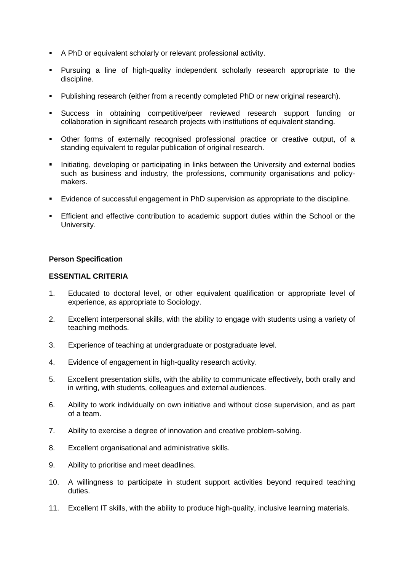- A PhD or equivalent scholarly or relevant professional activity.
- Pursuing a line of high-quality independent scholarly research appropriate to the discipline.
- Publishing research (either from a recently completed PhD or new original research).
- Success in obtaining competitive/peer reviewed research support funding or collaboration in significant research projects with institutions of equivalent standing.
- Other forms of externally recognised professional practice or creative output, of a standing equivalent to regular publication of original research.
- **EXEDENT** Initiating, developing or participating in links between the University and external bodies such as business and industry, the professions, community organisations and policymakers.
- Evidence of successful engagement in PhD supervision as appropriate to the discipline.
- Efficient and effective contribution to academic support duties within the School or the University.

#### **Person Specification**

#### **ESSENTIAL CRITERIA**

- 1. Educated to doctoral level, or other equivalent qualification or appropriate level of experience, as appropriate to Sociology.
- 2. Excellent interpersonal skills, with the ability to engage with students using a variety of teaching methods.
- 3. Experience of teaching at undergraduate or postgraduate level.
- 4. Evidence of engagement in high-quality research activity.
- 5. Excellent presentation skills, with the ability to communicate effectively, both orally and in writing, with students, colleagues and external audiences.
- 6. Ability to work individually on own initiative and without close supervision, and as part of a team.
- 7. Ability to exercise a degree of innovation and creative problem-solving.
- 8. Excellent organisational and administrative skills.
- 9. Ability to prioritise and meet deadlines.
- 10. A willingness to participate in student support activities beyond required teaching duties.
- 11. Excellent IT skills, with the ability to produce high-quality, inclusive learning materials.